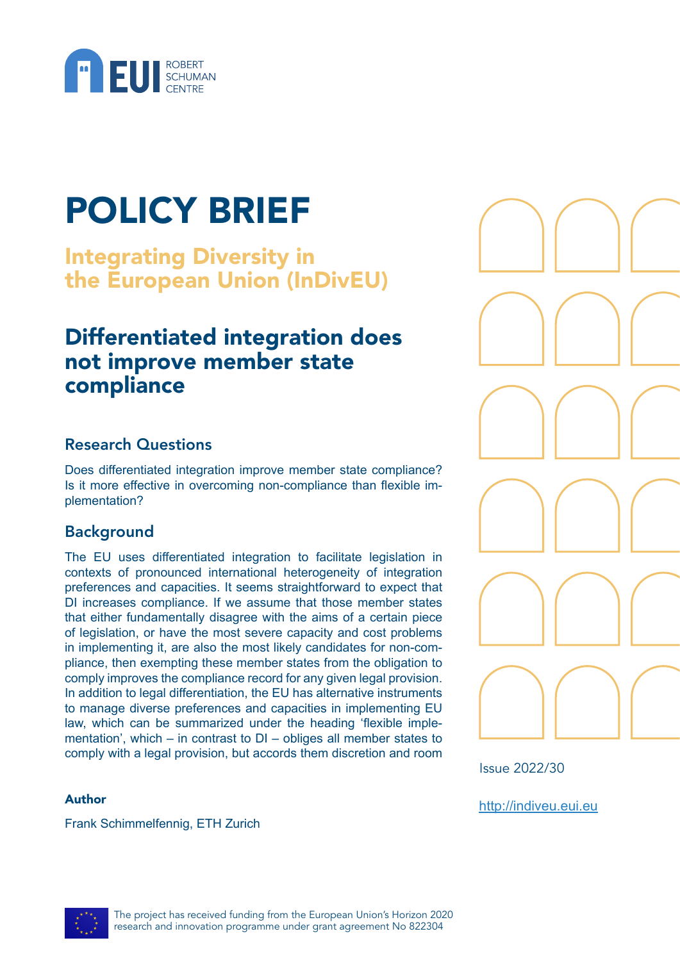

# POLICY BRIEF

Integrating Diversity in the European Union (InDivEU)

## Differentiated integration does not improve member state compliance

### Research Questions

Does differentiated integration improve member state compliance? Is it more effective in overcoming non-compliance than flexible implementation?

### Background

The EU uses differentiated integration to facilitate legislation in contexts of pronounced international heterogeneity of integration preferences and capacities. It seems straightforward to expect that DI increases compliance. If we assume that those member states that either fundamentally disagree with the aims of a certain piece of legislation, or have the most severe capacity and cost problems in implementing it, are also the most likely candidates for non-compliance, then exempting these member states from the obligation to comply improves the compliance record for any given legal provision. In addition to legal differentiation, the EU has alternative instruments to manage diverse preferences and capacities in implementing EU law, which can be summarized under the heading 'flexible implementation', which – in contrast to DI – obliges all member states to comply with a legal provision, but accords them discretion and room

#### Author

Frank Schimmelfennig, ETH Zurich



Issue 2022/30

<http://indiveu.eui.eu>

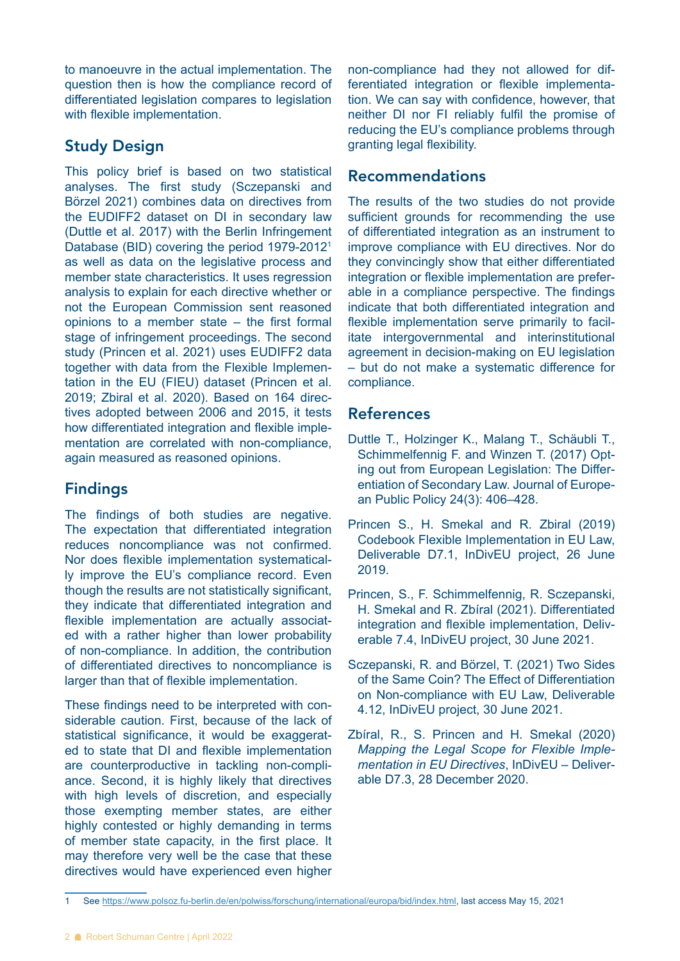to manoeuvre in the actual implementation. The question then is how the compliance record of differentiated legislation compares to legislation with flexible implementation.

### Study Design

This policy brief is based on two statistical analyses. The first study (Sczepanski and Börzel 2021) combines data on directives from the EUDIFF2 dataset on DI in secondary law (Duttle et al. 2017) with the Berlin Infringement Database (BID) covering the period 1979-2012<sup>1</sup> as well as data on the legislative process and member state characteristics. It uses regression analysis to explain for each directive whether or not the European Commission sent reasoned opinions to a member state – the first formal stage of infringement proceedings. The second study (Princen et al. 2021) uses EUDIFF2 data together with data from the Flexible Implementation in the EU (FIEU) dataset (Princen et al. 2019; Zbiral et al. 2020). Based on 164 directives adopted between 2006 and 2015, it tests how differentiated integration and flexible implementation are correlated with non-compliance, again measured as reasoned opinions.

#### Findings

The findings of both studies are negative. The expectation that differentiated integration reduces noncompliance was not confirmed. Nor does flexible implementation systematically improve the EU's compliance record. Even though the results are not statistically significant, they indicate that differentiated integration and flexible implementation are actually associated with a rather higher than lower probability of non-compliance. In addition, the contribution of differentiated directives to noncompliance is larger than that of flexible implementation.

These findings need to be interpreted with considerable caution. First, because of the lack of statistical significance, it would be exaggerated to state that DI and flexible implementation are counterproductive in tackling non-compliance. Second, it is highly likely that directives with high levels of discretion, and especially those exempting member states, are either highly contested or highly demanding in terms of member state capacity, in the first place. It may therefore very well be the case that these directives would have experienced even higher

non-compliance had they not allowed for differentiated integration or flexible implementation. We can say with confidence, however, that neither DI nor FI reliably fulfil the promise of reducing the EU's compliance problems through granting legal flexibility.

#### Recommendations

The results of the two studies do not provide sufficient grounds for recommending the use of differentiated integration as an instrument to improve compliance with EU directives. Nor do they convincingly show that either differentiated integration or flexible implementation are preferable in a compliance perspective. The findings indicate that both differentiated integration and flexible implementation serve primarily to facilitate intergovernmental and interinstitutional agreement in decision-making on EU legislation – but do not make a systematic difference for compliance.

#### References

- Duttle T., Holzinger K., Malang T., Schäubli T., Schimmelfennig F. and Winzen T. (2017) Opting out from European Legislation: The Differentiation of Secondary Law. Journal of European Public Policy 24(3): 406–428.
- Princen S., H. Smekal and R. Zbiral (2019) Codebook Flexible Implementation in EU Law, Deliverable D7.1, InDivEU project, 26 June 2019.
- Princen, S., F. Schimmelfennig, R. Sczepanski, H. Smekal and R. Zbíral (2021). Differentiated integration and flexible implementation, Deliverable 7.4, InDivEU project, 30 June 2021.
- Sczepanski, R. and Börzel, T. (2021) Two Sides of the Same Coin? The Effect of Differentiation on Non-compliance with EU Law, Deliverable 4.12, InDivEU project, 30 June 2021.
- Zbíral, R., S. Princen and H. Smekal (2020) *Mapping the Legal Scope for Flexible Implementation in EU Directives*, InDivEU – Deliverable D7.3, 28 December 2020.

<sup>1</sup> See <https://www.polsoz.fu-berlin.de/en/polwiss/forschung/international/europa/bid/index.html>, last access May 15, 2021